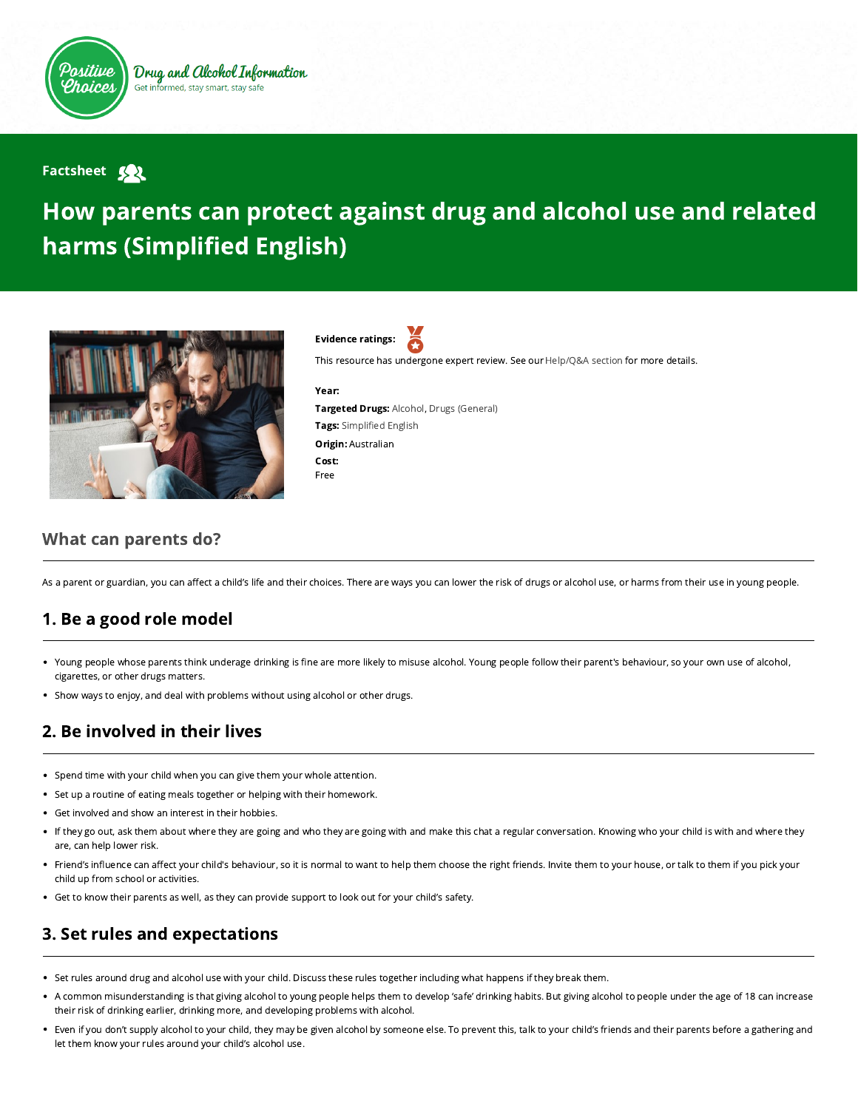

#### **Factsheet Sol**

# How parents can protect against drug and alcohol use and related harms (Simplified English)



Evidence ratings:

This resource has undergone expert review. See our [Help/Q&A section](https://positivechoices.org.au/help/questions-and-answers/) for more details.

#### Year:

Targeted Drugs: Alcohol, Drugs (General) Tags: Simplified English Origin: Australian Cost: Free

### What can parents do?

As a parent or guardian, you can affect a child's life and their choices. There are ways you can lower the risk of drugs or alcohol use, or harms from their use in young people.

# 1. Be a good role model

- Young people whose parents think underage drinking is fine are more likely to misuse alcohol. Young people follow their parent's behaviour, so your own use of alcohol, cigarettes, or other drugs matters.
- Show ways to enjoy, and deal with problems without using alcohol or other drugs.

# 2. Be involved in their lives

- Spend time with your child when you can give them your whole attention.
- Set up a routine of eating meals together or helping with their homework.
- Get involved and show an interest in their hobbies.
- If they go out, ask them about where they are going and who they are going with and make this chat a regular conversation. Knowing who your child is with and where they are, can help lower risk.
- Friend's influence can affect your child's behaviour, so it is normal to want to help them choose the right friends. Invite them to your house, or talk to them if you pick your child up from school or activities.
- Get to know their parents as well, as they can provide support to look out for your child's safety.

# 3. Set rules and expectations

- Set rules around drug and alcohol use with your child. Discuss these rules together including what happens if they break them.  $\bullet$
- A common misunderstanding is that giving alcohol to young people helps them to develop 'safe' drinking habits. But giving alcohol to people under the age of 18 can increase their risk of drinking earlier, drinking more, and developing problems with alcohol.
- Even if you don't supply alcohol to your child, they may be given alcohol by someone else. To prevent this, talk to your child's friends and their parents before a gathering and let them know your rules around your child's alcohol use.